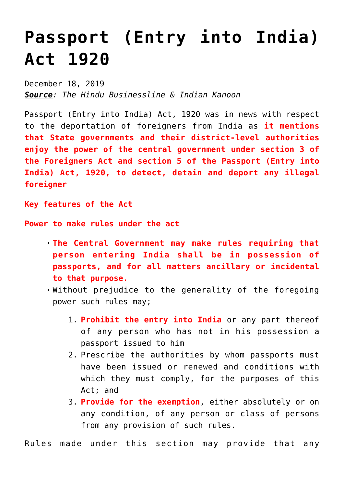## **[Passport \(Entry into India\)](https://journalsofindia.com/passport-entry-into-india-act-1920/) [Act 1920](https://journalsofindia.com/passport-entry-into-india-act-1920/)**

December 18, 2019 *Source: The Hindu Businessline & Indian Kanoon*

Passport (Entry into India) Act, 1920 was in news with respect to the deportation of foreigners from India as **it mentions that State governments and their district-level authorities enjoy the power of the central government under section 3 of the Foreigners Act and section 5 of the Passport (Entry into India) Act, 1920, to detect, detain and deport any illegal foreigner**

**Key features of the Act**

**Power to make rules under the act**

- **The Central Government may make rules requiring that person entering India shall be in possession of passports, and for all matters ancillary or incidental to that purpose.**
- Without prejudice to the generality of the foregoing power such rules may;
	- 1. **Prohibit the entry into India** or any part thereof of any person who has not in his possession a passport issued to him
	- 2. Prescribe the authorities by whom passports must have been issued or renewed and conditions with which they must comply, for the purposes of this Act; and
	- 3. **Provide for the exemption**, either absolutely or on any condition, of any person or class of persons from any provision of such rules.

Rules made under this section may provide that any